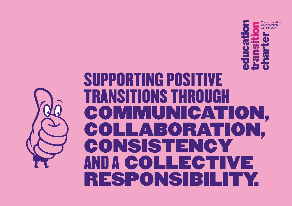

## SUPPORTING POSITIVE TRANSITIONS THROUGH COMMUNICATION, COLLABORATION, CONSISTENCY AND A COLLECTIVE RESPONSIB

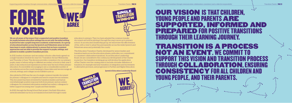We are all aware of the impact that a supported and positive transition for pupils between education settings has on not only the initial settling in period but also a pupil's long term academic achievements. As a group of educational leaders across the Ipswich and Felixstowe areas we have been keen to work collaboratively to ensure that we have consistent approaches and are able to provide the support to pupils, settings, and parents to enable a positive transition process.

In 2021, leaders of primary and secondary schools collectively agreed on a single transition window for year 6 to 7 transition: the last Wednesday, and Thursday of June. This decision provides consistency for our primary pupils, many of whom will go to different secondary schools to their year 6 peers, it also reduces lost experiences as they near the end of their primary education. It is incredibly encouraging to see a considerable number of secondaries across the county keeping to these dates and we encourage all schools, settings, and colleges across Suffolk to join us.

Also piloted in 2021 was the use of a single common transfer document for primary colleagues to complete and send to respective secondaries. This document has been reviewed by transition leaders and had an overwhelmingly positive response both from primary and secondary colleagues. Its consistent information enabled secondary colleagues to better support incoming year 7 pupils and their families.

In 2022, through the Strong School Start project, the Early Education network extended our focus on transition from birth through to early

## $\sim 20$ OUR VISION IS THAT CHILDREN, YOUNG PEOPLE AND PARENTS ARE SUPPORTED, INFORMED AND PREPARED FOR POSITIVE TRANSITIONS THROUGH THEIR LEARNING JOURNEY. TRANSITION IS A PROCESS NOT AN EVENT. WE COMMIT TO SUPPORT THIS VISION AND TRANSITION PROCESS THROUGH COLLABORATION, ENSURING CONSISTENCY FOR ALL CHILDREN AND

education to primary. They too have adopted the common transfer document and will be piloting it through this year's move up to primary school. As an education leadership group, we will review the effectiveness of this, with a view to adopt this permanently across the wider Ipswich and Felixstowe areas and potentially the county.

This Education Transition Charter, developed by senior leaders and transition leads across the education phases, embodies our commitment to consistent collaborative transitions. As an Education Leadership Board, we are committed to the continuous development of the Charter in practice. Our transition working group will develop the application of this Charter over the coming years to include a broader definition of transition, for example mid-year transition, re-integration and movements to alternative provision, and progression to Further and Higher Education.



### Transition Charter - PAGE 2











YOUNG PEOPLE, AND THEIR PARENTS.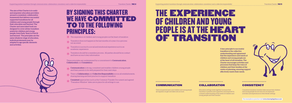## BY SIGNING THIS CHARTER WE HAVE **COMMITTED** TO TO THE FOLLOWING PRINCIPLES:

 $\bigtimes$  The experience of children and young people is at the heart of transition

- $\overline{\mathcal{X}}$  Transition does not happen in the last months of a year: it is a process not an event not an event
- $\ast$  Transition is as much a social and emotional experience as it is an  $\ast$ academic experience
- $\frac{1}{\sqrt{2}}$  Transition should be a seamless process. All parties should be in contact and have access to key information

These principles are underpinned by a commitment to **Communication**, Collaboration and Consistency.

- $\star$  **Communication** is strong, consistent and enables children young people and their payotte to be well prepared for their peyt steps and their parents to be well prepared for their next steps
- $\star$  There is **Collaboration** and **Collective Responsibility** across all establishments, sharing learning and best practice to support transition sharing learning and best practice to support transition
- **Consistent** approaches such as the Common Transfer Document and agreed **X** Consistent approaches such as the Common Transier Docu<br>"Transition Window" dates are in place for all settings to use.

The aim of this Charter is to unify and empower education providers around a consistent, collaborative framework that delivers successful supported transitions for all children and young people through their education and beyond. The Charter and associated tools are designed to cover all key transition points for children and young people, from Early Years to Post 16 and beyond. The principles are the same whatever stage of education, individual elements may be adapted to age specific elements and activities.

Allen Schweizer

## THE EXPERIENCE OF CHILDREN AND YOUNG PEOPLE IS AT THE HEART OF TRANSITION

## COMMUNICATION COLLABORATION CONSISTENCY

A key principle to successful transition is the collective understanding and agreement that the experience and needs of children and young people are at the heart of all transition. The Charter encourages activities and processes that keep the voice of children and their families at the centre of planning, ensuring support effectively meets their needs.



Views of parents/carers and children and young people are regularly sought and taken into account.

Education settings work together to ensure that transition is positive and supported, and responds to a shared understanding of the needs of children and young people and their families

Consistent transition window dates ensure that children and young people do not miss out on important activities and experiences in their feeder settings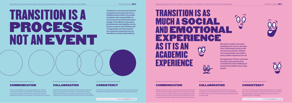# TRANSITION IS A PROCESS NOT AN EVENT

## COMMUNICATION COLLABORATION CONSISTENCY

Parents and Children and young people told us, "Giving as much information as possible in as digestible a format as possible will help reduce the fears associated with the

unknowns of high school transition", Year 6 Parent survey 2021 an Early Years passport which includes the views of the family. Education settings work together to develop processes that support strong positive transition. For example, the Early Education Network have worked collaboratively to develop

Consistent use of processes, dates for transition windows, and information exchange such as Common Transfer Document

Transition is a process and needs to be planned and conducted over a suitable period of time. Successful transition is the responsibility of all, not just the receiving education setting. To be effective, education professionals work together across phases to ensure that children and young people, and their parents are supported, prepared and can transition securely and positively.



### Supporting positive transitions through communication, collaboration, consistency and a collective responsibility Transition Charter - PAGE 7

### COMMUNICATION COLLABORATION CONSISTENCY

## TRANSITION IS AS MUCH A SOCIAL AND EMOTIONAL EXPERIENCE AS IT IS AN ACADEMIC EXPERIENCE Moving to another education establishment can be a stressful time. Addressing concerns and worries from parents, children and young people can enable a more positive experience for all. By signing this Charter, education providers demonstrate their commitment to the wellbeing of parents and children and young people.



Regular and informative communication between parents, and education settings support the transition process and reduce anxiety. A survey of year 6 pupils and parents told us that the concerns they were most worried about could be easily alleviated by simple and timely communication.

Visits and partnerships between feeder and receiving settings pre, during and post transition are an opportunity to address the social and emotional needs of children and young people.

The Early Education Network have introduced a Transition Bear, who is at the feeder setting and at the primary school, helping children joining reception have continuity and supporting their wellbeing.

For examples in practice visit www.sharingbigideas.co.uk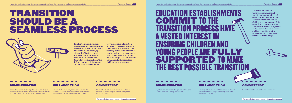## TRANSITION SHOULD BE A SEAMLESS PROCESS

### COMMUNICATION COLLABORATION CONSISTENCY

Excellent communication and collaboration and suitable sharing of information is key to successful transitions. All educators, by signing this Charter, commit to share information using a common transfer document, tailored by academic phase. This information not only focuses on academic information, but also

provides detailed information from practitioners who know the children and young people to the receiving setting. This information can be used to ensure appropriate support is provided throughout the transition process and provides a greater understanding of the children and young people.

Information provided at the right time enables settings to prepare for incoming pupils. The common transfer document facilitates this as does a programme of summer activity.

Coordinated open evenings enable parents to make informed and timely decisions and a shared transition window allows no child to miss preparatory events.

Working together to produce transition packs and information brochures gives children equity in the transition process.



## EDUCATION ESTABLISHMENTS COMMIT TO THE TRANSITION PROCESS HAVE A VESTED INTEREST IN ENSURING CHILDREN AND YOUNG PEOPLE ARE FULLY SUPPORTED TO MAKE THE BEST POSSIBLE TRANSITION

### COMMUNICATION COLLABORATION CONSISTENCY

The use of the common transfer document, shared transition window, and shared communications underpin the consistency of experience for children and young people. This commitment provides a strong foundation to ensure that positive and successful transition occurs and is a catalyst for positive achievement and attainment outcomes at every stage.



Regular networks for education providers, through the Suffolk Transition Working Group (STWG)

Working with education establishments, parents and children and young people to regularly review and evaluate approaches

. . . . . . . . . . . . . . . . . .

Commitment to the Charter tools and processes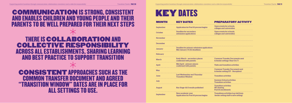# KEY DATES



| <b>MONTH</b>     | <b>KEY DATES</b>                                                                 | <b>PREPARATORY ACTIVITY</b>                                                    |
|------------------|----------------------------------------------------------------------------------|--------------------------------------------------------------------------------|
| September        | <b>Application for Post 16 process begins</b>                                    | Open events for schools,<br>colleges and universities                          |
| <b>October</b>   | Deadline for secondary<br>admission applications                                 | Open events for schools,<br>colleges and universities                          |
| <b>November</b>  |                                                                                  |                                                                                |
| <b>December</b>  |                                                                                  |                                                                                |
| January          | Deadline for primary admission applications<br><b>Mid January UCAS deadlines</b> |                                                                                |
| February         |                                                                                  |                                                                                |
| <b>March</b>     | <b>Early March - secondary places</b><br>confirmed with parents                  | <b>Common Transfer Documents sent</b><br>to feeder settings (Year 6 to 7)      |
| April            | Mid April - primary places<br>confirmed with parents                             | <b>Visits and transition activities</b>                                        |
| <b>May</b>       |                                                                                  | <b>Common Transfer Document sent</b><br>to feeder setting (EY - Reception)     |
| June             | <b>Last Wednesday and Thursday</b><br><b>Transition Window</b>                   | <b>Transition activities</b>                                                   |
| <b>July</b>      |                                                                                  | <b>Summer School activities</b><br><b>Transition activities</b>                |
| August           | Key Stage 4 & 5 results published                                                | <b>Transition activities</b><br><b>HE</b> clearing<br>Post-16 enrollments      |
| <b>September</b> | New academic year<br>Application for Post 16 process begins                      | Transitions activities (e.g visit from<br>feeder setting staff to new setting) |